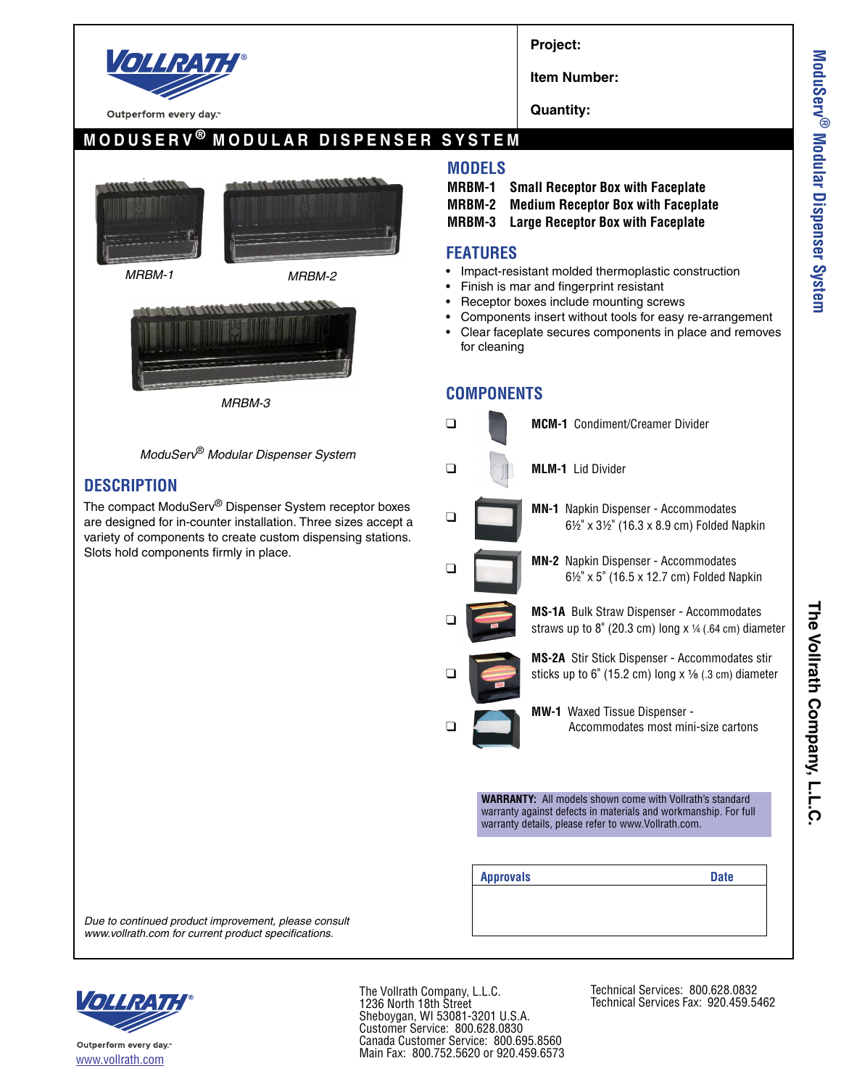

Outperform every day.

**Project:**

**Item Number:**

**Quantity:**

# **MODUSERV ® MODULAR DISPENSER SYSTEM**



*ModuServ*® *Modular Dispenser System*

### **DESCRIPTION**

The compact ModuServ® Dispenser System receptor boxes are designed for in-counter installation. Three sizes accept a variety of components to create custom dispensing stations. Slots hold components firmly in place.

#### **MODELS**

- **MRBM-1 Small Receptor Box with Faceplate**
- **MRBM-2 Medium Receptor Box with Faceplate**
- **MRBM-3 Large Receptor Box with Faceplate**

#### **FEATURES**

- Impact-resistant molded thermoplastic construction
- Finish is mar and fingerprint resistant
- Receptor boxes include mounting screws
- Components insert without tools for easy re-arrangement
- Clear faceplate secures components in place and removes for cleaning

### **COMPONENTS**



**The Vollrath Company, L.L.C.**

*Due to continued product improvement, please consult www.vollrath.com for current product specifications.*



The Vollrath Company, L.L.C. 1236 North 18th Street Sheboygan, WI 53081-3201 U.S.A. Customer Service: 800.628.0830 Canada Customer Service: 800.695.8560 Main Fax: 800.752.5620 or 920.459.6573 Technical Services: 800.628.0832 Technical Services Fax: 920.459.5462